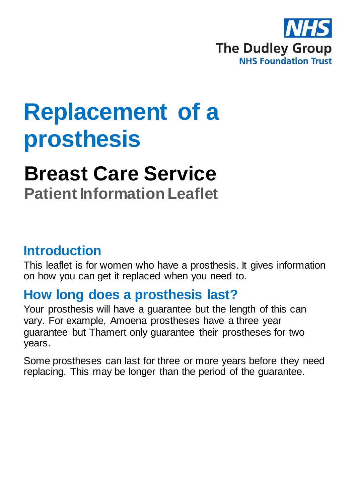

# **Replacement of a prosthesis**

# **Breast Care Service**

**Patient Information Leaflet**

### **Introduction**

This leaflet is for women who have a prosthesis. It gives information on how you can get it replaced when you need to.

### **How long does a prosthesis last?**

Your prosthesis will have a guarantee but the length of this can vary. For example, Amoena prostheses have a three year guarantee but Thamert only guarantee their prostheses for two years.

Some prostheses can last for three or more years before they need replacing. This may be longer than the period of the guarantee.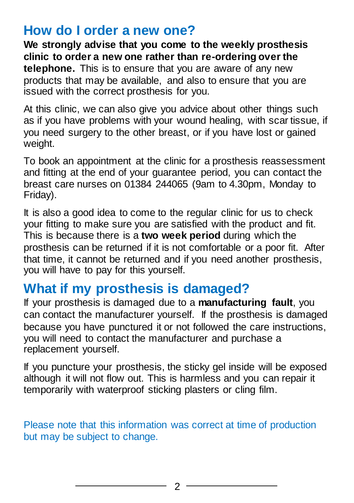#### **How do I order a new one?**

**We strongly advise that you come to the weekly prosthesis clinic to order a new one rather than re-ordering over the telephone.** This is to ensure that you are aware of any new products that may be available, and also to ensure that you are issued with the correct prosthesis for you.

At this clinic, we can also give you advice about other things such as if you have problems with your wound healing, with scar tissue, if you need surgery to the other breast, or if you have lost or gained weight.

To book an appointment at the clinic for a prosthesis reassessment and fitting at the end of your guarantee period, you can contact the breast care nurses on 01384 244065 (9am to 4.30pm, Monday to Friday).

It is also a good idea to come to the regular clinic for us to check your fitting to make sure you are satisfied with the product and fit. This is because there is a **two week period** during which the prosthesis can be returned if it is not comfortable or a poor fit. After that time, it cannot be returned and if you need another prosthesis, you will have to pay for this yourself.

## **What if my prosthesis is damaged?**

If your prosthesis is damaged due to a **manufacturing fault**, you can contact the manufacturer yourself. If the prosthesis is damaged because you have punctured it or not followed the care instructions, you will need to contact the manufacturer and purchase a replacement yourself.

If you puncture your prosthesis, the sticky gel inside will be exposed although it will not flow out. This is harmless and you can repair it temporarily with waterproof sticking plasters or cling film.

Please note that this information was correct at time of production but may be subject to change.